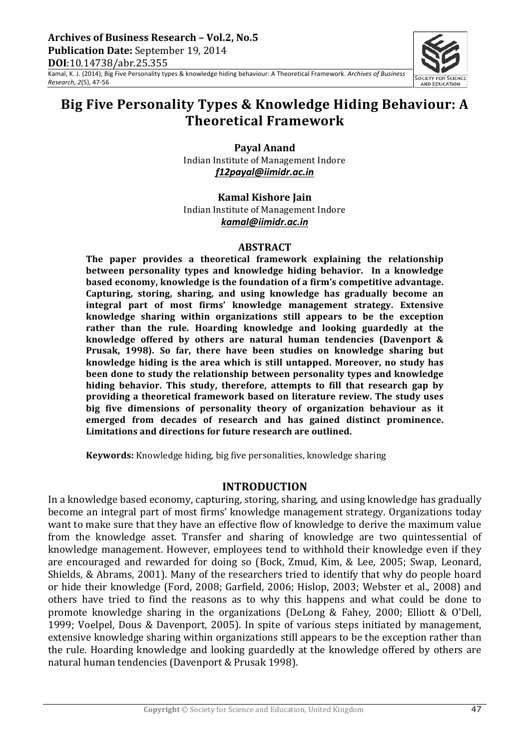

Kamal, K. J. (2014); Big Five Personality types & knowledge hiding behaviour: A Theoretical Framework. Archives of Business *Research,* 2(5), 47-56

# Big Five Personality Types & Knowledge Hiding Behaviour: A **Theoretical+Framework**

**Payal Anand** Indian Institute of Management Indore *f12payal@iimidr.ac.in*

**Kamal Kishore Jain** Indian Institute of Management Indore *kamal@iimidr.ac.in*

#### **ABSTRACT**

**The paper provides\* a\* theoretical framework explaining the relationship between personality types and knowledge hiding behavior.\* \* In\* a\* knowledge based economy, knowledge is the foundation of\*a\*firm's competitive advantage. Capturing, storing, sharing, and using knowledge has gradually become an integral part of most firms' knowledge management strategy. Extensive knowledge sharing within organizations still appears to be the exception rather than the rule. Hoarding knowledge and looking guardedly at the knowledge offered by others are natural human tendencies (Davenport\* &\* Prusak, 1998). So far, there have been studies on knowledge sharing but knowledge hiding is the area which is still untapped. Moreover, no study has been done to study the relationship between personality types and knowledge hiding behavior. This\* study, therefore, attempts to fill that research gap by providing\*a\*theoretical framework based on literature review. The study uses big five dimensions of personality theory of organization behaviour as it emerged from decades of research and has gained distinct prominence. Limitations and directions for future research are outlined.**

**Keywords:** Knowledge hiding, big five personalities, knowledge sharing

## **INTRODUCTION**

In a knowledge based economy, capturing, storing, sharing, and using knowledge has gradually become an integral part of most firms' knowledge management strategy. Organizations today want to make sure that they have an effective flow of knowledge to derive the maximum value from the knowledge asset. Transfer and sharing of knowledge are two quintessential of knowledge management. However, employees tend to withhold their knowledge even if they are encouraged and rewarded for doing so (Bock, Zmud, Kim, & Lee, 2005; Swap, Leonard, Shields, & Abrams, 2001). Many of the researchers tried to identify that why do people hoard or hide their knowledge (Ford, 2008; Garfield, 2006; Hislop, 2003; Webster et al., 2008) and others have tried to find the reasons as to why this happens and what could be done to promote knowledge sharing in the organizations (DeLong & Fahey, 2000; Elliott & O'Dell, 1999; Voelpel, Dous & Davenport, 2005). In spite of various steps initiated by management, extensive knowledge sharing within organizations still appears to be the exception rather than the rule. Hoarding knowledge and looking guardedly at the knowledge offered by others are natural human tendencies (Davenport & Prusak 1998).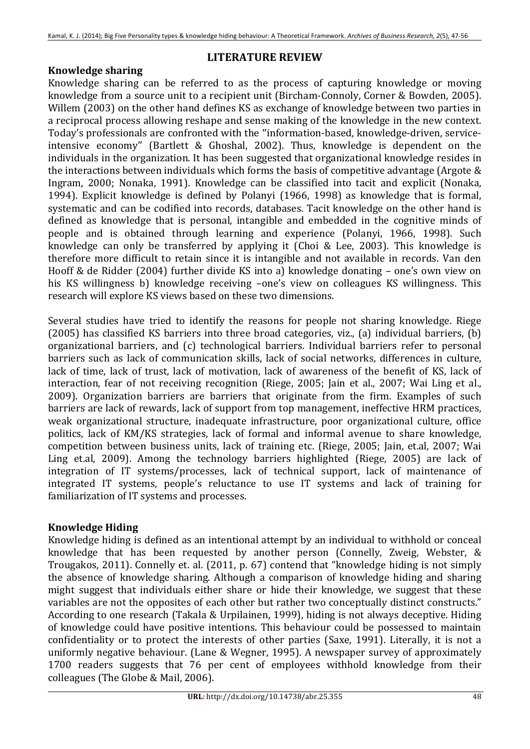# **LITERATURE REVIEW**

# **Knowledge sharing**

Knowledge sharing can be referred to as the process of capturing knowledge or moving knowledge from a source unit to a recipient unit (Bircham-Connoly, Corner & Bowden, 2005). Willem (2003) on the other hand defines KS as exchange of knowledge between two parties in a reciprocal process allowing reshape and sense making of the knowledge in the new context. Today's professionals are confronted with the "information-based, knowledge-driven, serviceintensive economy" (Bartlett & Ghoshal, 2002). Thus, knowledge is dependent on the individuals in the organization. It has been suggested that organizational knowledge resides in the interactions between individuals which forms the basis of competitive advantage (Argote  $&$ Ingram, 2000; Nonaka, 1991). Knowledge can be classified into tacit and explicit (Nonaka, 1994). Explicit knowledge is defined by Polanyi (1966, 1998) as knowledge that is formal, systematic and can be codified into records, databases. Tacit knowledge on the other hand is defined as knowledge that is personal, intangible and embedded in the cognitive minds of people and is obtained through learning and experience (Polanyi, 1966, 1998). Such knowledge can only be transferred by applying it (Choi & Lee, 2003). This knowledge is therefore more difficult to retain since it is intangible and not available in records. Van den Hooff & de Ridder (2004) further divide KS into a) knowledge donating – one's own view on his KS willingness b) knowledge receiving –one's view on colleagues KS willingness. This research will explore KS views based on these two dimensions.

Several studies have tried to identify the reasons for people not sharing knowledge. Riege (2005) has classified KS barriers into three broad categories, viz., (a) individual barriers,  $(b)$ organizational barriers, and (c) technological barriers. Individual barriers refer to personal barriers such as lack of communication skills, lack of social networks, differences in culture, lack of time, lack of trust, lack of motivation, lack of awareness of the benefit of KS, lack of interaction, fear of not receiving recognition (Riege, 2005; Jain et al., 2007; Wai Ling et al., 2009). Organization barriers are barriers that originate from the firm. Examples of such barriers are lack of rewards, lack of support from top management, ineffective HRM practices, weak organizational structure, inadequate infrastructure, poor organizational culture, office politics, lack of KM/KS strategies, lack of formal and informal avenue to share knowledge, competition between business units, lack of training etc. (Riege, 2005; Jain, et.al, 2007; Wai Ling et.al, 2009). Among the technology barriers highlighted (Riege, 2005) are lack of integration of IT systems/processes, lack of technical support, lack of maintenance of integrated IT systems, people's reluctance to use IT systems and lack of training for familiarization of IT systems and processes.

# **Knowledge Hiding**

Knowledge hiding is defined as an intentional attempt by an individual to withhold or conceal knowledge that has been requested by another person (Connelly, Zweig, Webster, & Trougakos, 2011). Connelly et. al. (2011, p. 67) contend that "knowledge hiding is not simply the absence of knowledge sharing. Although a comparison of knowledge hiding and sharing might suggest that individuals either share or hide their knowledge, we suggest that these variables are not the opposites of each other but rather two conceptually distinct constructs." According to one research (Takala & Urpilainen, 1999), hiding is not always deceptive. Hiding of knowledge could have positive intentions. This behaviour could be possessed to maintain confidentiality or to protect the interests of other parties (Saxe, 1991). Literally, it is not a uniformly negative behaviour. (Lane & Wegner, 1995). A newspaper survey of approximately 1700 readers suggests that 76 per cent of employees withhold knowledge from their colleagues (The Globe & Mail, 2006).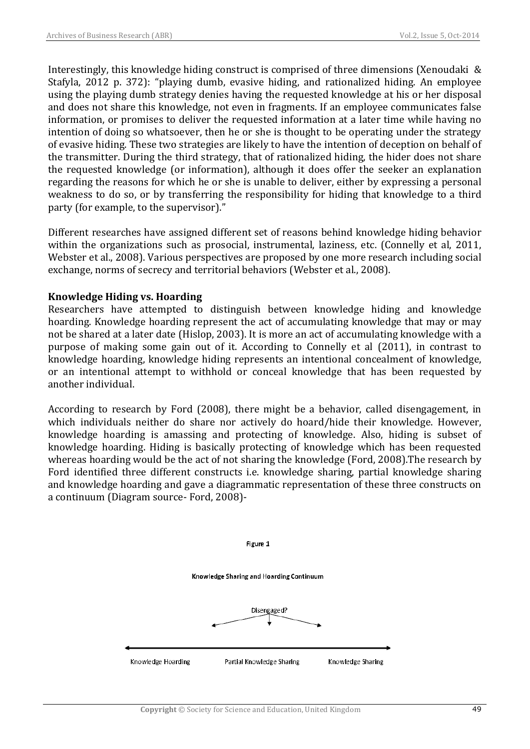Interestingly, this knowledge hiding construct is comprised of three dimensions (Xenoudaki  $&$ Stafyla, 2012 p. 372): "playing dumb, evasive hiding, and rationalized hiding. An employee using the playing dumb strategy denies having the requested knowledge at his or her disposal and does not share this knowledge, not even in fragments. If an employee communicates false information, or promises to deliver the requested information at a later time while having no intention of doing so whatsoever, then he or she is thought to be operating under the strategy of evasive hiding. These two strategies are likely to have the intention of deception on behalf of the transmitter. During the third strategy, that of rationalized hiding, the hider does not share the requested knowledge (or information), although it does offer the seeker an explanation regarding the reasons for which he or she is unable to deliver, either by expressing a personal weakness to do so, or by transferring the responsibility for hiding that knowledge to a third party (for example, to the supervisor)."

Different researches have assigned different set of reasons behind knowledge hiding behavior within the organizations such as prosocial, instrumental, laziness, etc. (Connelly et al, 2011, Webster et al., 2008). Various perspectives are proposed by one more research including social exchange, norms of secrecy and territorial behaviors (Webster et al., 2008).

## **Knowledge Hiding vs. Hoarding**

Researchers have attempted to distinguish between knowledge hiding and knowledge hoarding. Knowledge hoarding represent the act of accumulating knowledge that may or may not be shared at a later date (Hislop, 2003). It is more an act of accumulating knowledge with a purpose of making some gain out of it. According to Connelly et al (2011), in contrast to knowledge hoarding, knowledge hiding represents an intentional concealment of knowledge, or an intentional attempt to withhold or conceal knowledge that has been requested by another individual.

According to research by Ford (2008), there might be a behavior, called disengagement, in which individuals neither do share nor actively do hoard/hide their knowledge. However, knowledge hoarding is amassing and protecting of knowledge. Also, hiding is subset of knowledge hoarding. Hiding is basically protecting of knowledge which has been requested whereas hoarding would be the act of not sharing the knowledge (Ford, 2008). The research by Ford identified three different constructs i.e. knowledge sharing, partial knowledge sharing and knowledge hoarding and gave a diagrammatic representation of these three constructs on a continuum (Diagram source- Ford, 2008)-

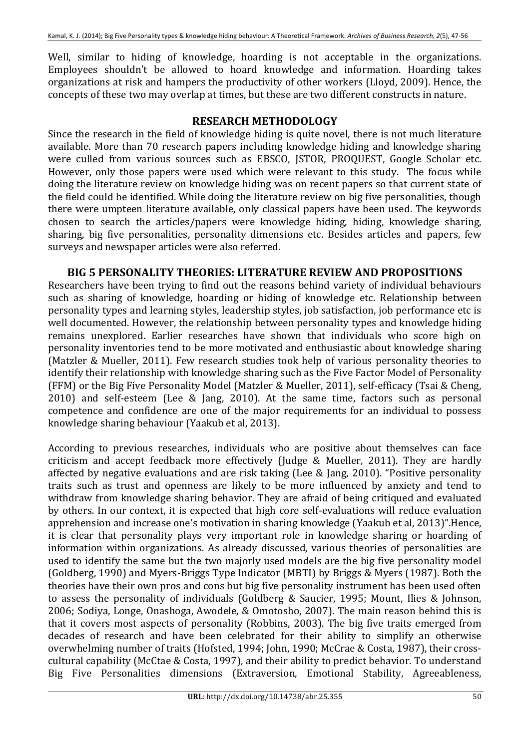Well, similar to hiding of knowledge, hoarding is not acceptable in the organizations. Employees shouldn't be allowed to hoard knowledge and information. Hoarding takes organizations at risk and hampers the productivity of other workers (Lloyd, 2009). Hence, the concepts of these two may overlap at times, but these are two different constructs in nature.

# **RESEARCH METHODOLOGY**

Since the research in the field of knowledge hiding is quite novel, there is not much literature available. More than 70 research papers including knowledge hiding and knowledge sharing were culled from various sources such as EBSCO, ISTOR, PROQUEST, Google Scholar etc. However, only those papers were used which were relevant to this study. The focus while doing the literature review on knowledge hiding was on recent papers so that current state of the field could be identified. While doing the literature review on big five personalities, though there were umpteen literature available, only classical papers have been used. The keywords chosen to search the articles/papers were knowledge hiding, hiding, knowledge sharing, sharing, big five personalities, personality dimensions etc. Besides articles and papers, few surveys and newspaper articles were also referred.

## **BIG\*5\*PERSONALITY THEORIES: LITERATURE REVIEW AND PROPOSITIONS\*\***

Researchers have been trying to find out the reasons behind variety of individual behaviours such as sharing of knowledge, hoarding or hiding of knowledge etc. Relationship between personality types and learning styles, leadership styles, job satisfaction, job performance etc is well documented. However, the relationship between personality types and knowledge hiding remains unexplored. Earlier researches have shown that individuals who score high on personality inventories tend to be more motivated and enthusiastic about knowledge sharing (Matzler & Mueller, 2011). Few research studies took help of various personality theories to identify their relationship with knowledge sharing such as the Five Factor Model of Personality (FFM) or the Big Five Personality Model (Matzler & Mueller, 2011), self-efficacy (Tsai & Cheng, 2010) and self-esteem (Lee  $&$  Jang, 2010). At the same time, factors such as personal competence and confidence are one of the major requirements for an individual to possess knowledge sharing behaviour (Yaakub et al, 2013).

According to previous researches, individuals who are positive about themselves can face criticism and accept feedback more effectively (Judge & Mueller, 2011). They are hardly affected by negative evaluations and are risk taking (Lee & Jang, 2010). "Positive personality traits such as trust and openness are likely to be more influenced by anxiety and tend to withdraw from knowledge sharing behavior. They are afraid of being critiqued and evaluated by others. In our context, it is expected that high core self-evaluations will reduce evaluation apprehension and increase one's motivation in sharing knowledge (Yaakub et al, 2013)".Hence, it is clear that personality plays very important role in knowledge sharing or hoarding of information within organizations. As already discussed, various theories of personalities are used to identify the same but the two majorly used models are the big five personality model (Goldberg, 1990) and Myers-Briggs Type Indicator (MBTI) by Briggs & Myers (1987). Both the theories have their own pros and cons but big five personality instrument has been used often to assess the personality of individuals (Goldberg & Saucier, 1995; Mount, Ilies & Johnson, 2006; Sodiya, Longe, Onashoga, Awodele, & Omotosho, 2007). The main reason behind this is that it covers most aspects of personality (Robbins, 2003). The big five traits emerged from decades of research and have been celebrated for their ability to simplify an otherwise overwhelming number of traits (Hofsted, 1994; John, 1990; McCrae & Costa, 1987), their crosscultural capability (McCtae & Costa, 1997), and their ability to predict behavior. To understand Big Five Personalities dimensions (Extraversion, Emotional Stability, Agreeableness,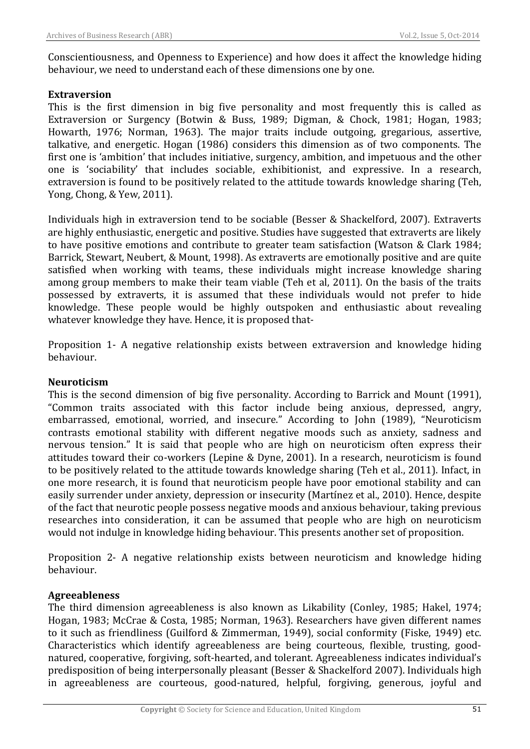Conscientiousness, and Openness to Experience) and how does it affect the knowledge hiding behaviour, we need to understand each of these dimensions one by one.

## **Extraversion**

This is the first dimension in big five personality and most frequently this is called as Extraversion or Surgency (Botwin & Buss, 1989; Digman, & Chock, 1981; Hogan, 1983; Howarth, 1976; Norman, 1963). The major traits include outgoing, gregarious, assertive, talkative, and energetic. Hogan (1986) considers this dimension as of two components. The first one is 'ambition' that includes initiative, surgency, ambition, and impetuous and the other one is 'sociability' that includes sociable, exhibitionist, and expressive. In a research, extraversion is found to be positively related to the attitude towards knowledge sharing (Teh, Yong, Chong, & Yew, 2011).

Individuals high in extraversion tend to be sociable (Besser & Shackelford, 2007). Extraverts are highly enthusiastic, energetic and positive. Studies have suggested that extraverts are likely to have positive emotions and contribute to greater team satisfaction (Watson & Clark 1984; Barrick, Stewart, Neubert, & Mount, 1998). As extraverts are emotionally positive and are quite satisfied when working with teams, these individuals might increase knowledge sharing among group members to make their team viable (Teh et al, 2011). On the basis of the traits possessed by extraverts, it is assumed that these individuals would not prefer to hide knowledge. These people would be highly outspoken and enthusiastic about revealing whatever knowledge they have. Hence, it is proposed that-

Proposition 1- A negative relationship exists between extraversion and knowledge hiding behaviour.

## **Neuroticism\*\***

This is the second dimension of big five personality. According to Barrick and Mount (1991). "Common traits associated with this factor include being anxious, depressed, angry, embarrassed, emotional, worried, and insecure." According to John (1989), "Neuroticism contrasts emotional stability with different negative moods such as anxiety, sadness and nervous tension." It is said that people who are high on neuroticism often express their attitudes toward their co-workers (Lepine & Dyne, 2001). In a research, neuroticism is found to be positively related to the attitude towards knowledge sharing (Teh et al., 2011). Infact, in one more research, it is found that neuroticism people have poor emotional stability and can easily surrender under anxiety, depression or insecurity (Martínez et al., 2010). Hence, despite of the fact that neurotic people possess negative moods and anxious behaviour, taking previous researches into consideration, it can be assumed that people who are high on neuroticism would not indulge in knowledge hiding behaviour. This presents another set of proposition.

Proposition 2- A negative relationship exists between neuroticism and knowledge hiding behaviour.

## **Agreeableness\*\***

The third dimension agreeableness is also known as Likability (Conley, 1985; Hakel, 1974; Hogan, 1983; McCrae & Costa, 1985; Norman, 1963). Researchers have given different names to it such as friendliness (Guilford & Zimmerman, 1949), social conformity (Fiske, 1949) etc. Characteristics which identify agreeableness are being courteous, flexible, trusting, goodnatured, cooperative, forgiving, soft-hearted, and tolerant. Agreeableness indicates individual's predisposition of being interpersonally pleasant (Besser & Shackelford 2007). Individuals high in agreeableness are courteous, good-natured, helpful, forgiving, generous, joyful and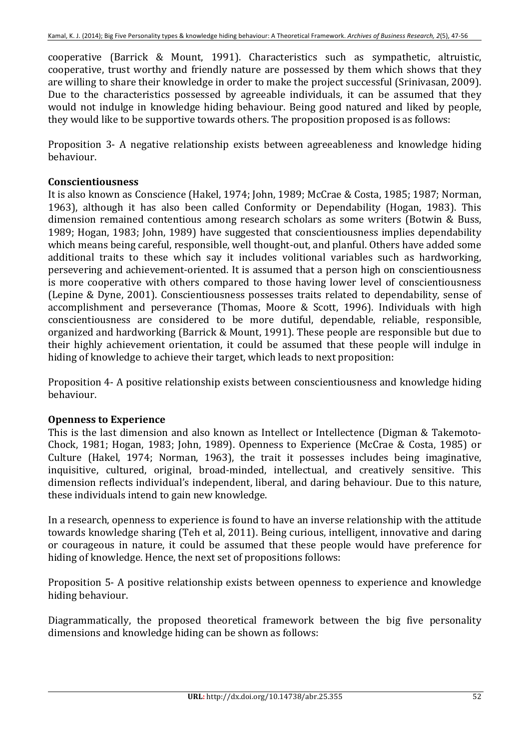cooperative (Barrick & Mount, 1991). Characteristics such as sympathetic, altruistic, cooperative, trust worthy and friendly nature are possessed by them which shows that they are willing to share their knowledge in order to make the project successful (Srinivasan, 2009). Due to the characteristics possessed by agreeable individuals, it can be assumed that they would not indulge in knowledge hiding behaviour. Being good natured and liked by people. they would like to be supportive towards others. The proposition proposed is as follows:

Proposition 3- A negative relationship exists between agreeableness and knowledge hiding behaviour.

## **Conscientiousness\***

It is also known as Conscience (Hakel, 1974; John, 1989; McCrae & Costa, 1985; 1987; Norman, 1963), although it has also been called Conformity or Dependability (Hogan, 1983). This dimension remained contentious among research scholars as some writers (Botwin & Buss, 1989; Hogan, 1983; John, 1989) have suggested that conscientiousness implies dependability which means being careful, responsible, well thought-out, and planful. Others have added some additional traits to these which say it includes volitional variables such as hardworking, persevering and achievement-oriented. It is assumed that a person high on conscientiousness is more cooperative with others compared to those having lower level of conscientiousness (Lepine & Dyne, 2001). Conscientiousness possesses traits related to dependability, sense of accomplishment and perseverance (Thomas, Moore & Scott, 1996). Individuals with high conscientiousness are considered to be more dutiful, dependable, reliable, responsible, organized and hardworking (Barrick & Mount, 1991). These people are responsible but due to their highly achievement orientation, it could be assumed that these people will indulge in hiding of knowledge to achieve their target, which leads to next proposition:

Proposition 4- A positive relationship exists between conscientiousness and knowledge hiding behaviour.

## **Openness to Experience**

This is the last dimension and also known as Intellect or Intellectence (Digman & Takemoto-Chock, 1981; Hogan, 1983; John, 1989). Openness to Experience (McCrae & Costa, 1985) or Culture (Hakel, 1974; Norman, 1963), the trait it possesses includes being imaginative, inquisitive, cultured, original, broad-minded, intellectual, and creatively sensitive. This dimension reflects individual's independent, liberal, and daring behaviour. Due to this nature, these individuals intend to gain new knowledge.

In a research, openness to experience is found to have an inverse relationship with the attitude towards knowledge sharing (Teh et al, 2011). Being curious, intelligent, innovative and daring or courageous in nature, it could be assumed that these people would have preference for hiding of knowledge. Hence, the next set of propositions follows:

Proposition 5- A positive relationship exists between openness to experience and knowledge hiding behaviour.

Diagrammatically, the proposed theoretical framework between the big five personality dimensions and knowledge hiding can be shown as follows: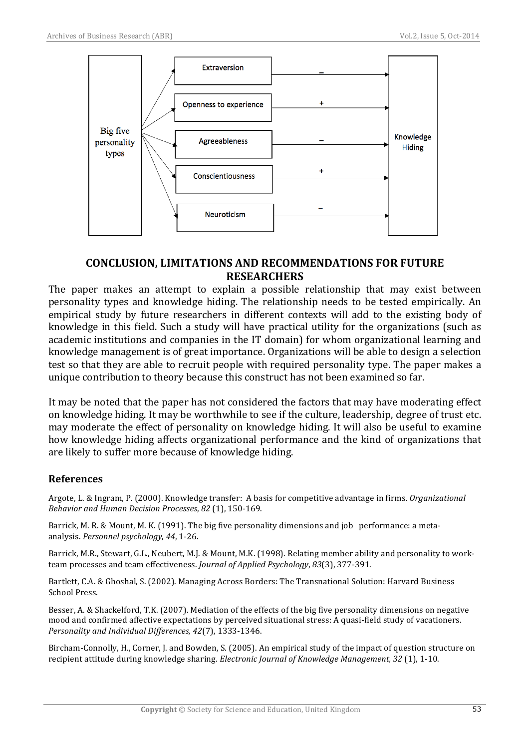

# **CONCLUSION,\*LIMITATIONS AND RECOMMENDATIONS FOR FUTURE RESEARCHERS**

The paper makes an attempt to explain a possible relationship that may exist between personality types and knowledge hiding. The relationship needs to be tested empirically. An empirical study by future researchers in different contexts will add to the existing body of knowledge in this field. Such a study will have practical utility for the organizations (such as academic institutions and companies in the IT domain) for whom organizational learning and knowledge management is of great importance. Organizations will be able to design a selection test so that they are able to recruit people with required personality type. The paper makes a unique contribution to theory because this construct has not been examined so far.

It may be noted that the paper has not considered the factors that may have moderating effect on knowledge hiding. It may be worthwhile to see if the culture, leadership, degree of trust etc. may moderate the effect of personality on knowledge hiding. It will also be useful to examine how knowledge hiding affects organizational performance and the kind of organizations that are likely to suffer more because of knowledge hiding.

## **References**

Argote, L. & Ingram, P. (2000). Knowledge transfer: A basis for competitive advantage in firms. *Organizational Behavior and Human Decision Processes, 82 (1), 150-169.* 

Barrick, M. R. & Mount, M. K. (1991). The big five personality dimensions and job performance: a metaanalysis. *Personnel psychology*, 44, 1-26.

Barrick, M.R., Stewart, G.L., Neubert, M.J. & Mount, M.K. (1998). Relating member ability and personality to workteam processes and team effectiveness. *Journal of Applied Psychology*, 83(3), 377-391.

Bartlett, C.A. & Ghoshal, S. (2002). Managing Across Borders: The Transnational Solution: Harvard Business School Press.

Besser, A. & Shackelford, T.K. (2007). Mediation of the effects of the big five personality dimensions on negative mood and confirmed affective expectations by perceived situational stress: A quasi-field study of vacationers. *Personality and Individual Differences, 42(7), 1333-1346.* 

Bircham-Connolly, H., Corner, J. and Bowden, S. (2005). An empirical study of the impact of question structure on recipient attitude during knowledge sharing. *Electronic Journal of Knowledge Management*, 32 (1), 1-10.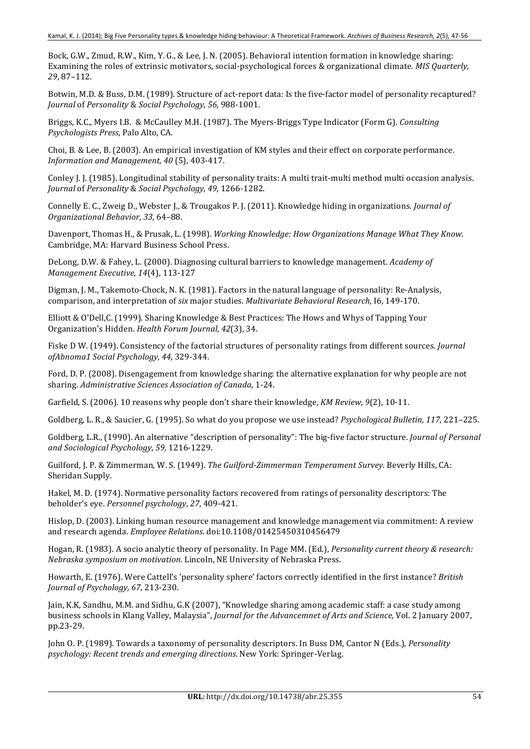Bock, G.W., Zmud, R.W., Kim, Y. G., & Lee, J. N. (2005). Behavioral intention formation in knowledge sharing: Examining the roles of extrinsic motivators, social-psychological forces & organizational climate. *MIS Quarterly*, *29*,!87–112.

Botwin, M.D. & Buss, D.M. (1989). Structure of act-report data: Is the five-factor model of personality recaptured? *Journal'*of!*Personality'*&!*Social'Psychology,'56,'*988<1001.

Briggs, K.C., Myers I.B. & McCaulley M.H. (1987). The Myers-Briggs Type Indicator (Form G). *Consulting* Psychologists Press, Palo Alto, CA.

Choi, B. & Lee, B. (2003). An empirical investigation of KM styles and their effect on corporate performance. *Information and Management, 40* (5), 403-417.

Conley J. J. (1985). Longitudinal stability of personality traits: A multi trait-multi method multi occasion analysis. *Journal'*of!*Personality'*&!*Social'Psychology,'49,* 1266<1282.

Connelly E. C., Zweig D., Webster J., & Trougakos P. J. (2011). Knowledge hiding in organizations. *Journal of Organizational'Behavior*,!*33*,!64–88.

Davenport, Thomas H., & Prusak, L. (1998). *Working Knowledge: How Organizations Manage What They Know.* Cambridge, MA: Harvard Business School Press.

DeLong, D.W. & Fahey, L. (2000). Diagnosing cultural barriers to knowledge management. *Academy of Management Executive, 14*(4), 113-127

Digman, J. M., Takemoto-Chock, N. K. (1981). Factors in the natural language of personality: Re-Analysis, comparison, and interpretation of *six* major studies. *Multivariate Behavioral Research*, 16, 149-170.

Elliott & O'Dell,C. (1999). Sharing Knowledge & Best Practices: The Hows and Whys of Tapping Your Organization's Hidden. *Health Forum Journal, 42*(3), 34.

Fiske D W. (1949). Consistency of the factorial structures of personality ratings from different sources. *Journal ofAbnoma1'Social'Psychology,'44,'*329<344.

Ford, D. P. (2008). Disengagement from knowledge sharing: the alternative explanation for why people are not sharing. Administrative Sciences Association of *Canada*, 1-24.

Garfield, S. (2006). 10 reasons why people don't share their knowledge, *KM Review*, 9(2), 10-11.

Goldberg, L. R., & Saucier, G. (1995). So what do you propose we use instead? *Psychological Bulletin, 117*, 221–225.

Goldberg, L.R., (1990). An alternative "description of personality": The big-five factor structure. *Journal of Personal* and Sociological Psychology, 59, 1216-1229.

Guilford, J. P. & Zimmerman, W. S. (1949). *The Guilford-Zimmerman Temperament Survey*. Beverly Hills, CA: Sheridan Supply.

Hakel, M. D. (1974). Normative personality factors recovered from ratings of personality descriptors: The beholder's eye. *Personnel psychology*, 27, 409-421.

Hislop, D. (2003). Linking human resource management and knowledge management via commitment: A review and research agenda. *Employee Relations*. doi:10.1108/01425450310456479

Hogan, R. (1983). A socio analytic theory of personality. In Page MM. (Ed.), *Personality current theory & research: Nebraska symposium on motivation.* Lincoln, NE University of Nebraska Press.

Howarth, E. (1976). Were Cattell's 'personality sphere' factors correctly identified in the first instance? *British Journal of Psychology, 67, 213-230.* 

Jain, K.K, Sandhu, M.M. and Sidhu, G.K (2007), "Knowledge sharing among academic staff: a case study among business schools in Klang Valley, Malaysia", *Journal for the Advancemnet of Arts and Science*, Vol. 2 January 2007, pp.23<29.

John O. P. (1989). Towards a taxonomy of personality descriptors. In Buss DM, Cantor N (Eds.), *Personality psychology: Recent trends and emerging directions.* New York: Springer-Verlag.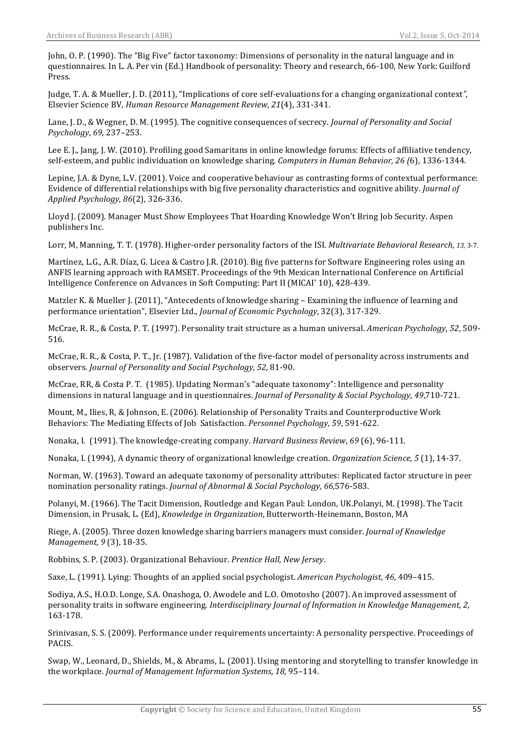John, O. P. (1990). The "Big Five" factor taxonomy: Dimensions of personality in the natural language and in questionnaires. In L. A. Per vin (Ed.) Handbook of personality: Theory and research, 66-100, New York: Guilford Press.

Judge, T. A. & Mueller, J. D. (2011), "Implications of core self-evaluations for a changing organizational context", Elsevier!Science!BV,!*Human'Resource'Management'Review*,!*21*(4),!331<341.!

Lane, J. D., & Wegner, D. M. (1995). The cognitive consequences of secrecy. *Journal of Personality and Social Psychology*,!*69*,!237–253.

Lee E. J., Jang, J. W. (2010). Profiling good Samaritans in online knowledge forums: Effects of affiliative tendency, self-esteem, and public individuation on knowledge sharing. *Computers in Human Behavior, 26 (6*), 1336-1344.

Lepine, J.A. & Dyne, L.V. (2001). Voice and cooperative behaviour as contrasting forms of contextual performance: Evidence of differential relationships with big five personality characteristics and cognitive ability. *Journal of Applied'Psychology*,!*86*(2),!326<336.

Lloyd J. (2009). Manager Must Show Employees That Hoarding Knowledge Won't Bring Job Security. Aspen publishers Inc.

Lorr, M. Manning, T. T. (1978). Higher-order personality factors of the ISI. *Multivariate Behavioral Research, 13*, 3-7.

Martínez, L.G., A.R. Díaz, G. Licea & Castro J.R. (2010). Big five patterns for Software Engineering roles using an ANFIS learning approach with RAMSET. Proceedings of the 9th Mexican International Conference on Artificial Intelligence Conference on Advances in Soft Computing: Part II (MICAI' 10), 428-439.

Matzler K. & Mueller J. (2011), "Antecedents of knowledge sharing – Examining the influence of learning and performance orientation", Elsevier Ltd., Journal of Economic Psychology, 32(3), 317-329.

McCrae, R. R., & Costa, P. T. (1997). Personality trait structure as a human universal. *American Psychology*, 52, 509-516.

McCrae, R. R., & Costa, P. T., Jr. (1987). Validation of the five-factor model of personality across instruments and observers.!*Journal'of'Personality'and'Social'Psychology,'52,* 81<90.

McCrae, RR, & Costa P. T. (1985). Updating Norman's "adequate taxonomy": Intelligence and personality dimensions in natural language and in questionnaires. *Journal of Personality & Social Psychology, 49*,710-721.

Mount, M., Ilies, R, & Johnson, E. (2006). Relationship of Personality Traits and Counterproductive Work Behaviors: The Mediating Effects of Job Satisfaction. *Personnel Psychology, 59*, 591-622.

Nonaka, I. (1991). The knowledge-creating company. *Harvard Business Review*, 69 (6), 96-111.

Nonaka, I. (1994), A dynamic theory of organizational knowledge creation. *Organization Science*, 5 (1), 14-37.

Norman, W. (1963). Toward an adequate taxonomy of personality attributes: Replicated factor structure in peer nomination!personality!ratings. *Journal of'Abnormal'&'Social'Psychology,'66,*576<583.

Polanyi, M. (1966). The Tacit Dimension, Routledge and Kegan Paul: London, UK.Polanyi, M. (1998). The Tacit Dimension, in Prusak, L. (Ed), *Knowledge in Organization*, Butterworth-Heinemann, Boston, MA

Riege, A. (2005). Three dozen knowledge sharing barriers managers must consider. *Journal of Knowledge Management, 9* (3), 18-35.

Robbins, S. P. (2003). Organizational Behaviour. *Prentice Hall, New Iersev*.

Saxe, L. (1991). Lying: Thoughts of an applied social psychologist. *American Psychologist*, 46, 409–415.

Sodiya, A.S., H.O.D. Longe, S.A. Onashoga, O. Awodele and L.O. Omotosho (2007). An improved assessment of personality traits in software engineering. *Interdisciplinary Journal of Information in Knowledge Management*, 2, 163<178.

Srinivasan, S. S. (2009). Performance under requirements uncertainty: A personality perspective. Proceedings of PACIS.

Swap, W., Leonard, D., Shields, M., & Abrams, L. (2001). Using mentoring and storytelling to transfer knowledge in the!workplace.!*Journal'of'Management'Information'Systems*,!*18,* 95–114.